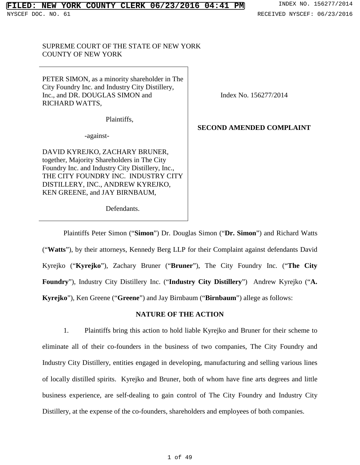## SUPREME COURT OF THE STATE OF NEW YORK COUNTY OF NEW YORK

PETER SIMON, as a minority shareholder in The City Foundry Inc. and Industry City Distillery, Inc., and DR. DOUGLAS SIMON and RICHARD WATTS,

Plaintiffs,

-against-

DAVID KYREJKO, ZACHARY BRUNER, together, Majority Shareholders in The City Foundry Inc. and Industry City Distillery, Inc., THE CITY FOUNDRY INC. INDUSTRY CITY DISTILLERY, INC., ANDREW KYREJKO,

Index No. 156277/2014

# **SECOND AMENDED COMPLAINT**

KEN GREENE, and JAY BIRNBAUM,

Defendants.

Plaintiffs Peter Simon ("**Simon**") Dr. Douglas Simon ("**Dr. Simon**") and Richard Watts ("**Watts**"), by their attorneys, Kennedy Berg LLP for their Complaint against defendants David Kyrejko ("**Kyrejko**"), Zachary Bruner ("**Bruner**"), The City Foundry Inc. ("**The City Foundry**"), Industry City Distillery Inc. ("**Industry City Distillery**") Andrew Kyrejko ("**A. Kyrejko**"), Ken Greene ("**Greene**") and Jay Birnbaum ("**Birnbaum**") allege as follows:

## **NATURE OF THE ACTION**

<span id="page-0-0"></span>1. Plaintiffs bring this action to hold liable Kyrejko and Bruner for their scheme to eliminate all of their co-founders in the business of two companies, The City Foundry and Industry City Distillery, entities engaged in developing, manufacturing and selling various lines of locally distilled spirits. Kyrejko and Bruner, both of whom have fine arts degrees and little business experience, are self-dealing to gain control of The City Foundry and Industry City Distillery, at the expense of the co-founders, shareholders and employees of both companies.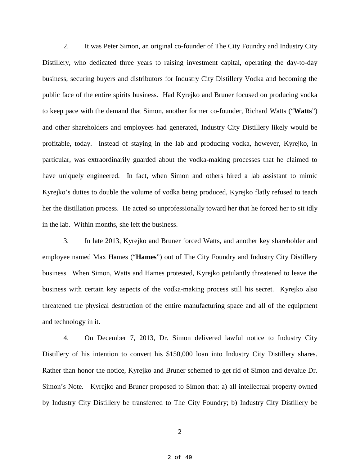2. It was Peter Simon, an original co-founder of The City Foundry and Industry City Distillery, who dedicated three years to raising investment capital, operating the day-to-day business, securing buyers and distributors for Industry City Distillery Vodka and becoming the public face of the entire spirits business. Had Kyrejko and Bruner focused on producing vodka to keep pace with the demand that Simon, another former co-founder, Richard Watts ("**Watts**") and other shareholders and employees had generated, Industry City Distillery likely would be profitable, today. Instead of staying in the lab and producing vodka, however, Kyrejko, in particular, was extraordinarily guarded about the vodka-making processes that he claimed to have uniquely engineered. In fact, when Simon and others hired a lab assistant to mimic Kyrejko's duties to double the volume of vodka being produced, Kyrejko flatly refused to teach her the distillation process. He acted so unprofessionally toward her that he forced her to sit idly in the lab. Within months, she left the business.

3. In late 2013, Kyrejko and Bruner forced Watts, and another key shareholder and employee named Max Hames ("**Hames**") out of The City Foundry and Industry City Distillery business. When Simon, Watts and Hames protested, Kyrejko petulantly threatened to leave the business with certain key aspects of the vodka-making process still his secret. Kyrejko also threatened the physical destruction of the entire manufacturing space and all of the equipment and technology in it.

4. On December 7, 2013, Dr. Simon delivered lawful notice to Industry City Distillery of his intention to convert his \$150,000 loan into Industry City Distillery shares. Rather than honor the notice, Kyrejko and Bruner schemed to get rid of Simon and devalue Dr. Simon's Note. Kyrejko and Bruner proposed to Simon that: a) all intellectual property owned by Industry City Distillery be transferred to The City Foundry; b) Industry City Distillery be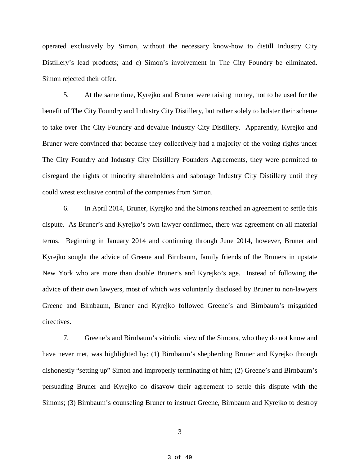operated exclusively by Simon, without the necessary know-how to distill Industry City Distillery's lead products; and c) Simon's involvement in The City Foundry be eliminated. Simon rejected their offer.

5. At the same time, Kyrejko and Bruner were raising money, not to be used for the benefit of The City Foundry and Industry City Distillery, but rather solely to bolster their scheme to take over The City Foundry and devalue Industry City Distillery. Apparently, Kyrejko and Bruner were convinced that because they collectively had a majority of the voting rights under The City Foundry and Industry City Distillery Founders Agreements, they were permitted to disregard the rights of minority shareholders and sabotage Industry City Distillery until they could wrest exclusive control of the companies from Simon.

6. In April 2014, Bruner, Kyrejko and the Simons reached an agreement to settle this dispute. As Bruner's and Kyrejko's own lawyer confirmed, there was agreement on all material terms. Beginning in January 2014 and continuing through June 2014, however, Bruner and Kyrejko sought the advice of Greene and Birnbaum, family friends of the Bruners in upstate New York who are more than double Bruner's and Kyrejko's age. Instead of following the advice of their own lawyers, most of which was voluntarily disclosed by Bruner to non-lawyers Greene and Birnbaum, Bruner and Kyrejko followed Greene's and Birnbaum's misguided directives.

7. Greene's and Birnbaum's vitriolic view of the Simons, who they do not know and have never met, was highlighted by: (1) Birnbaum's shepherding Bruner and Kyrejko through dishonestly "setting up" Simon and improperly terminating of him; (2) Greene's and Birnbaum's persuading Bruner and Kyrejko do disavow their agreement to settle this dispute with the Simons; (3) Birnbaum's counseling Bruner to instruct Greene, Birnbaum and Kyrejko to destroy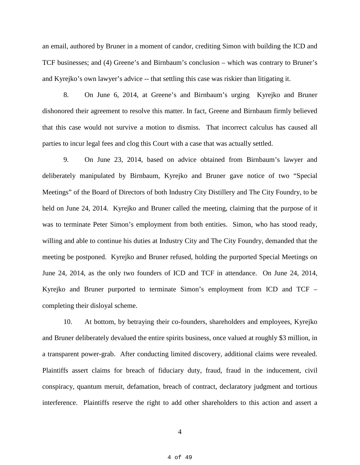an email, authored by Bruner in a moment of candor, crediting Simon with building the ICD and TCF businesses; and (4) Greene's and Birnbaum's conclusion – which was contrary to Bruner's and Kyrejko's own lawyer's advice -- that settling this case was riskier than litigating it.

8. On June 6, 2014, at Greene's and Birnbaum's urging Kyrejko and Bruner dishonored their agreement to resolve this matter. In fact, Greene and Birnbaum firmly believed that this case would not survive a motion to dismiss. That incorrect calculus has caused all parties to incur legal fees and clog this Court with a case that was actually settled.

9. On June 23, 2014, based on advice obtained from Birnbaum's lawyer and deliberately manipulated by Birnbaum, Kyrejko and Bruner gave notice of two "Special Meetings" of the Board of Directors of both Industry City Distillery and The City Foundry, to be held on June 24, 2014. Kyrejko and Bruner called the meeting, claiming that the purpose of it was to terminate Peter Simon's employment from both entities. Simon, who has stood ready, willing and able to continue his duties at Industry City and The City Foundry, demanded that the meeting be postponed. Kyrejko and Bruner refused, holding the purported Special Meetings on June 24, 2014, as the only two founders of ICD and TCF in attendance. On June 24, 2014, Kyrejko and Bruner purported to terminate Simon's employment from ICD and TCF – completing their disloyal scheme.

10. At bottom, by betraying their co-founders, shareholders and employees, Kyrejko and Bruner deliberately devalued the entire spirits business, once valued at roughly \$3 million, in a transparent power-grab. After conducting limited discovery, additional claims were revealed. Plaintiffs assert claims for breach of fiduciary duty, fraud, fraud in the inducement, civil conspiracy, quantum meruit, defamation, breach of contract, declaratory judgment and tortious interference. Plaintiffs reserve the right to add other shareholders to this action and assert a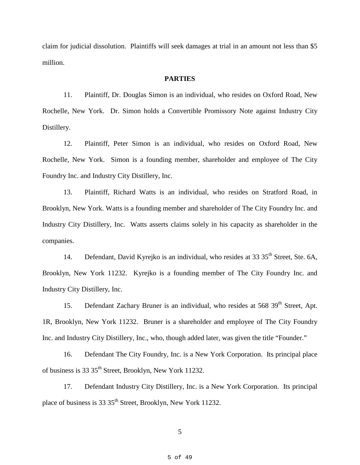claim for judicial dissolution. Plaintiffs will seek damages at trial in an amount not less than \$5 million.

## **PARTIES**

11. Plaintiff, Dr. Douglas Simon is an individual, who resides on Oxford Road, New Rochelle, New York. Dr. Simon holds a Convertible Promissory Note against Industry City Distillery.

12. Plaintiff, Peter Simon is an individual, who resides on Oxford Road, New Rochelle, New York. Simon is a founding member, shareholder and employee of The City Foundry Inc. and Industry City Distillery, Inc.

13. Plaintiff, Richard Watts is an individual, who resides on Stratford Road, in Brooklyn, New York. Watts is a founding member and shareholder of The City Foundry Inc. and Industry City Distillery, Inc. Watts asserts claims solely in his capacity as shareholder in the companies.

14. Defendant, David Kyrejko is an individual, who resides at 33 35<sup>th</sup> Street, Ste. 6A, Brooklyn, New York 11232. Kyrejko is a founding member of The City Foundry Inc. and Industry City Distillery, Inc.

15. Defendant Zachary Bruner is an individual, who resides at 568 39<sup>th</sup> Street, Apt. 1R, Brooklyn, New York 11232. Bruner is a shareholder and employee of The City Foundry Inc. and Industry City Distillery, Inc., who, though added later, was given the title "Founder."

16. Defendant The City Foundry, Inc. is a New York Corporation. Its principal place of business is 33 35<sup>th</sup> Street, Brooklyn, New York 11232.

17. Defendant Industry City Distillery, Inc. is a New York Corporation. Its principal place of business is 33 35<sup>th</sup> Street, Brooklyn, New York 11232.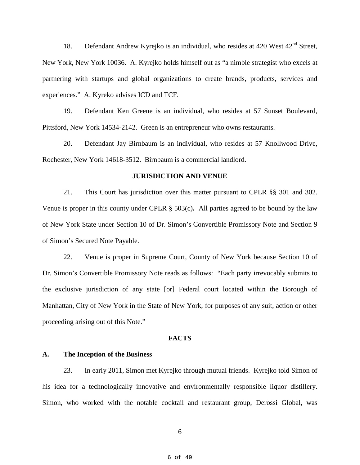18. Defendant Andrew Kyrejko is an individual, who resides at 420 West  $42<sup>nd</sup>$  Street, New York, New York 10036. A. Kyrejko holds himself out as "a nimble strategist who excels at partnering with startups and global organizations to create brands, products, services and experiences." A. Kyreko advises ICD and TCF.

19. Defendant Ken Greene is an individual, who resides at 57 Sunset Boulevard, Pittsford, New York 14534-2142. Green is an entrepreneur who owns restaurants.

20. Defendant Jay Birnbaum is an individual, who resides at 57 Knollwood Drive, Rochester, New York 14618-3512. Birnbaum is a commercial landlord.

#### **JURISDICTION AND VENUE**

21. This Court has jurisdiction over this matter pursuant to CPLR §§ 301 and 302. Venue is proper in this county under CPLR § 503(c)**.** All parties agreed to be bound by the law of New York State under Section 10 of Dr. Simon's Convertible Promissory Note and Section 9 of Simon's Secured Note Payable.

22. Venue is proper in Supreme Court, County of New York because Section 10 of Dr. Simon's Convertible Promissory Note reads as follows: "Each party irrevocably submits to the exclusive jurisdiction of any state [or] Federal court located within the Borough of Manhattan, City of New York in the State of New York, for purposes of any suit, action or other proceeding arising out of this Note."

#### **FACTS**

### **A. The Inception of the Business**

23. In early 2011, Simon met Kyrejko through mutual friends. Kyrejko told Simon of his idea for a technologically innovative and environmentally responsible liquor distillery. Simon, who worked with the notable cocktail and restaurant group, Derossi Global, was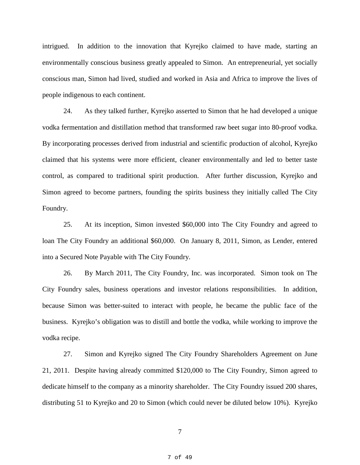intrigued. In addition to the innovation that Kyrejko claimed to have made, starting an environmentally conscious business greatly appealed to Simon. An entrepreneurial, yet socially conscious man, Simon had lived, studied and worked in Asia and Africa to improve the lives of people indigenous to each continent.

24. As they talked further, Kyrejko asserted to Simon that he had developed a unique vodka fermentation and distillation method that transformed raw beet sugar into 80-proof vodka. By incorporating processes derived from industrial and scientific production of alcohol, Kyrejko claimed that his systems were more efficient, cleaner environmentally and led to better taste control, as compared to traditional spirit production. After further discussion, Kyrejko and Simon agreed to become partners, founding the spirits business they initially called The City Foundry.

25. At its inception, Simon invested \$60,000 into The City Foundry and agreed to loan The City Foundry an additional \$60,000. On January 8, 2011, Simon, as Lender, entered into a Secured Note Payable with The City Foundry.

26. By March 2011, The City Foundry, Inc. was incorporated. Simon took on The City Foundry sales, business operations and investor relations responsibilities. In addition, because Simon was better-suited to interact with people, he became the public face of the business. Kyrejko's obligation was to distill and bottle the vodka, while working to improve the vodka recipe.

27. Simon and Kyrejko signed The City Foundry Shareholders Agreement on June 21, 2011. Despite having already committed \$120,000 to The City Foundry, Simon agreed to dedicate himself to the company as a minority shareholder. The City Foundry issued 200 shares, distributing 51 to Kyrejko and 20 to Simon (which could never be diluted below 10%). Kyrejko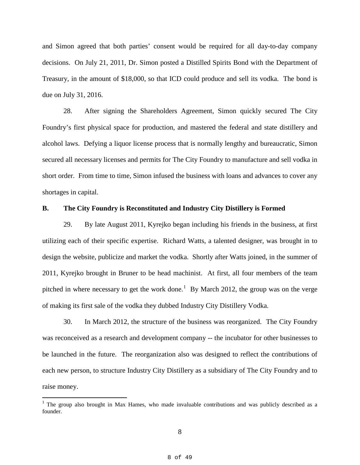and Simon agreed that both parties' consent would be required for all day-to-day company decisions. On July 21, 2011, Dr. Simon posted a Distilled Spirits Bond with the Department of Treasury, in the amount of \$18,000, so that ICD could produce and sell its vodka. The bond is due on July 31, 2016.

28. After signing the Shareholders Agreement, Simon quickly secured The City Foundry's first physical space for production, and mastered the federal and state distillery and alcohol laws. Defying a liquor license process that is normally lengthy and bureaucratic, Simon secured all necessary licenses and permits for The City Foundry to manufacture and sell vodka in short order. From time to time, Simon infused the business with loans and advances to cover any shortages in capital.

### **B. The City Foundry is Reconstituted and Industry City Distillery is Formed**

29. By late August 2011, Kyrejko began including his friends in the business, at first utilizing each of their specific expertise. Richard Watts, a talented designer, was brought in to design the website, publicize and market the vodka. Shortly after Watts joined, in the summer of 2011, Kyrejko brought in Bruner to be head machinist. At first, all four members of the team pitched in where necessary to get the work done.<sup>[1](#page-0-0)</sup> By March 2012, the group was on the verge of making its first sale of the vodka they dubbed Industry City Distillery Vodka.

30. In March 2012, the structure of the business was reorganized. The City Foundry was reconceived as a research and development company -- the incubator for other businesses to be launched in the future. The reorganization also was designed to reflect the contributions of each new person, to structure Industry City Distillery as a subsidiary of The City Foundry and to raise money.

<span id="page-7-0"></span><sup>&</sup>lt;sup>1</sup> The group also brought in Max Hames, who made invaluable contributions and was publicly described as a founder.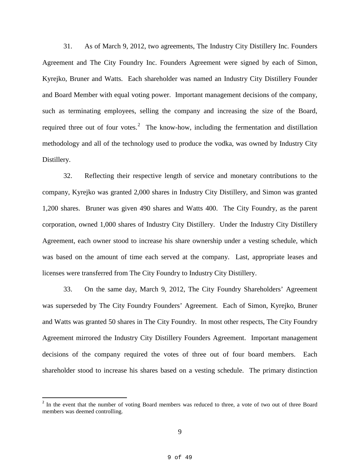31. As of March 9, 2012, two agreements, The Industry City Distillery Inc. Founders Agreement and The City Foundry Inc. Founders Agreement were signed by each of Simon, Kyrejko, Bruner and Watts. Each shareholder was named an Industry City Distillery Founder and Board Member with equal voting power. Important management decisions of the company, such as terminating employees, selling the company and increasing the size of the Board, required three out of four votes.<sup>[2](#page-7-0)</sup> The know-how, including the fermentation and distillation methodology and all of the technology used to produce the vodka, was owned by Industry City Distillery.

32. Reflecting their respective length of service and monetary contributions to the company, Kyrejko was granted 2,000 shares in Industry City Distillery, and Simon was granted 1,200 shares. Bruner was given 490 shares and Watts 400. The City Foundry, as the parent corporation, owned 1,000 shares of Industry City Distillery. Under the Industry City Distillery Agreement, each owner stood to increase his share ownership under a vesting schedule, which was based on the amount of time each served at the company. Last, appropriate leases and licenses were transferred from The City Foundry to Industry City Distillery.

33. On the same day, March 9, 2012, The City Foundry Shareholders' Agreement was superseded by The City Foundry Founders' Agreement. Each of Simon, Kyrejko, Bruner and Watts was granted 50 shares in The City Foundry. In most other respects, The City Foundry Agreement mirrored the Industry City Distillery Founders Agreement. Important management decisions of the company required the votes of three out of four board members. Each shareholder stood to increase his shares based on a vesting schedule. The primary distinction

<span id="page-8-0"></span><sup>&</sup>lt;sup>2</sup> In the event that the number of voting Board members was reduced to three, a vote of two out of three Board members was deemed controlling.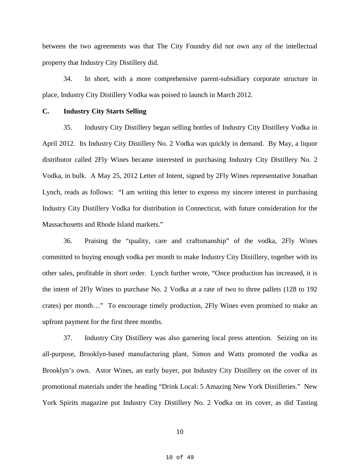between the two agreements was that The City Foundry did not own any of the intellectual property that Industry City Distillery did.

34. In short, with a more comprehensive parent-subsidiary corporate structure in place, Industry City Distillery Vodka was poised to launch in March 2012.

## **C. Industry City Starts Selling**

35. Industry City Distillery began selling bottles of Industry City Distillery Vodka in April 2012. Its Industry City Distillery No. 2 Vodka was quickly in demand. By May, a liquor distributor called 2Fly Wines became interested in purchasing Industry City Distillery No. 2 Vodka, in bulk. A May 25, 2012 Letter of Intent, signed by 2Fly Wines representative Jonathan Lynch, reads as follows: "I am writing this letter to express my sincere interest in purchasing Industry City Distillery Vodka for distribution in Connecticut, with future consideration for the Massachusetts and Rhode Island markets."

36. Praising the "quality, care and craftsmanship" of the vodka, 2Fly Wines committed to buying enough vodka per month to make Industry City Distillery, together with its other sales, profitable in short order. Lynch further wrote, "Once production has increased, it is the intent of 2Fly Wines to purchase No. 2 Vodka at a rate of two to three pallets (128 to 192 crates) per month…" To encourage timely production, 2Fly Wines even promised to make an upfront payment for the first three months.

37. Industry City Distillery was also garnering local press attention. Seizing on its all-purpose, Brooklyn-based manufacturing plant, Simon and Watts promoted the vodka as Brooklyn's own. Astor Wines, an early buyer, put Industry City Distillery on the cover of its promotional materials under the heading "Drink Local: 5 Amazing New York Distilleries." New York Spirits magazine put Industry City Distillery No. 2 Vodka on its cover, as did Tasting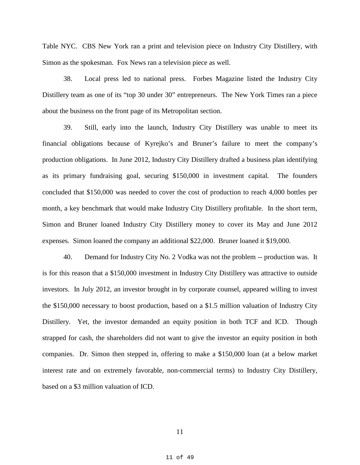Table NYC. CBS New York ran a print and television piece on Industry City Distillery, with Simon as the spokesman. Fox News ran a television piece as well.

38. Local press led to national press. Forbes Magazine listed the Industry City Distillery team as one of its "top 30 under 30" entrepreneurs. The New York Times ran a piece about the business on the front page of its Metropolitan section.

39. Still, early into the launch, Industry City Distillery was unable to meet its financial obligations because of Kyrejko's and Bruner's failure to meet the company's production obligations. In June 2012, Industry City Distillery drafted a business plan identifying as its primary fundraising goal, securing \$150,000 in investment capital. The founders concluded that \$150,000 was needed to cover the cost of production to reach 4,000 bottles per month, a key benchmark that would make Industry City Distillery profitable. In the short term, Simon and Bruner loaned Industry City Distillery money to cover its May and June 2012 expenses. Simon loaned the company an additional \$22,000. Bruner loaned it \$19,000.

40. Demand for Industry City No. 2 Vodka was not the problem -- production was. It is for this reason that a \$150,000 investment in Industry City Distillery was attractive to outside investors. In July 2012, an investor brought in by corporate counsel, appeared willing to invest the \$150,000 necessary to boost production, based on a \$1.5 million valuation of Industry City Distillery. Yet, the investor demanded an equity position in both TCF and ICD. Though strapped for cash, the shareholders did not want to give the investor an equity position in both companies. Dr. Simon then stepped in, offering to make a \$150,000 loan (at a below market interest rate and on extremely favorable, non-commercial terms) to Industry City Distillery, based on a \$3 million valuation of ICD.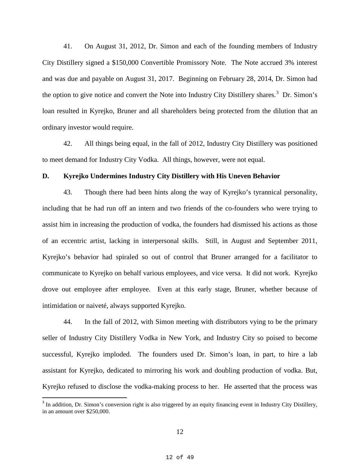41. On August 31, 2012, Dr. Simon and each of the founding members of Industry City Distillery signed a \$150,000 Convertible Promissory Note. The Note accrued 3% interest and was due and payable on August 31, 2017. Beginning on February 28, 2014, Dr. Simon had the option to give notice and convert the Note into Industry City Distillery shares.<sup>[3](#page-8-0)</sup> Dr. Simon's loan resulted in Kyrejko, Bruner and all shareholders being protected from the dilution that an ordinary investor would require.

42. All things being equal, in the fall of 2012, Industry City Distillery was positioned to meet demand for Industry City Vodka. All things, however, were not equal.

#### **D. Kyrejko Undermines Industry City Distillery with His Uneven Behavior**

43. Though there had been hints along the way of Kyrejko's tyrannical personality, including that he had run off an intern and two friends of the co-founders who were trying to assist him in increasing the production of vodka, the founders had dismissed his actions as those of an eccentric artist, lacking in interpersonal skills. Still, in August and September 2011, Kyrejko's behavior had spiraled so out of control that Bruner arranged for a facilitator to communicate to Kyrejko on behalf various employees, and vice versa. It did not work. Kyrejko drove out employee after employee. Even at this early stage, Bruner, whether because of intimidation or naiveté, always supported Kyrejko.

44. In the fall of 2012, with Simon meeting with distributors vying to be the primary seller of Industry City Distillery Vodka in New York, and Industry City so poised to become successful, Kyrejko imploded. The founders used Dr. Simon's loan, in part, to hire a lab assistant for Kyrejko, dedicated to mirroring his work and doubling production of vodka. But, Kyrejko refused to disclose the vodka-making process to her. He asserted that the process was

<span id="page-11-0"></span><sup>&</sup>lt;sup>3</sup> In addition, Dr. Simon's conversion right is also triggered by an equity financing event in Industry City Distillery, in an amount over \$250,000.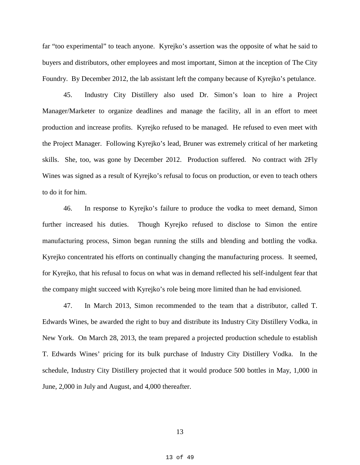far "too experimental" to teach anyone. Kyrejko's assertion was the opposite of what he said to buyers and distributors, other employees and most important, Simon at the inception of The City Foundry. By December 2012, the lab assistant left the company because of Kyrejko's petulance.

45. Industry City Distillery also used Dr. Simon's loan to hire a Project Manager/Marketer to organize deadlines and manage the facility, all in an effort to meet production and increase profits. Kyrejko refused to be managed. He refused to even meet with the Project Manager. Following Kyrejko's lead, Bruner was extremely critical of her marketing skills. She, too, was gone by December 2012. Production suffered. No contract with 2Fly Wines was signed as a result of Kyrejko's refusal to focus on production, or even to teach others to do it for him.

46. In response to Kyrejko's failure to produce the vodka to meet demand, Simon further increased his duties. Though Kyrejko refused to disclose to Simon the entire manufacturing process, Simon began running the stills and blending and bottling the vodka. Kyrejko concentrated his efforts on continually changing the manufacturing process. It seemed, for Kyrejko, that his refusal to focus on what was in demand reflected his self-indulgent fear that the company might succeed with Kyrejko's role being more limited than he had envisioned.

47. In March 2013, Simon recommended to the team that a distributor, called T. Edwards Wines, be awarded the right to buy and distribute its Industry City Distillery Vodka, in New York. On March 28, 2013, the team prepared a projected production schedule to establish T. Edwards Wines' pricing for its bulk purchase of Industry City Distillery Vodka. In the schedule, Industry City Distillery projected that it would produce 500 bottles in May, 1,000 in June, 2,000 in July and August, and 4,000 thereafter.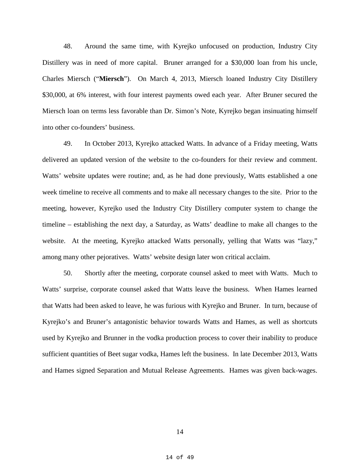48. Around the same time, with Kyrejko unfocused on production, Industry City Distillery was in need of more capital. Bruner arranged for a \$30,000 loan from his uncle, Charles Miersch ("**Miersch**"). On March 4, 2013, Miersch loaned Industry City Distillery \$30,000, at 6% interest, with four interest payments owed each year. After Bruner secured the Miersch loan on terms less favorable than Dr. Simon's Note, Kyrejko began insinuating himself into other co-founders' business.

49. In October 2013, Kyrejko attacked Watts. In advance of a Friday meeting, Watts delivered an updated version of the website to the co-founders for their review and comment. Watts' website updates were routine; and, as he had done previously, Watts established a one week timeline to receive all comments and to make all necessary changes to the site. Prior to the meeting, however, Kyrejko used the Industry City Distillery computer system to change the timeline – establishing the next day, a Saturday, as Watts' deadline to make all changes to the website. At the meeting, Kyrejko attacked Watts personally, yelling that Watts was "lazy," among many other pejoratives. Watts' website design later won critical acclaim.

50. Shortly after the meeting, corporate counsel asked to meet with Watts. Much to Watts' surprise, corporate counsel asked that Watts leave the business. When Hames learned that Watts had been asked to leave, he was furious with Kyrejko and Bruner. In turn, because of Kyrejko's and Bruner's antagonistic behavior towards Watts and Hames, as well as shortcuts used by Kyrejko and Brunner in the vodka production process to cover their inability to produce sufficient quantities of Beet sugar vodka, Hames left the business. In late December 2013, Watts and Hames signed Separation and Mutual Release Agreements. Hames was given back-wages.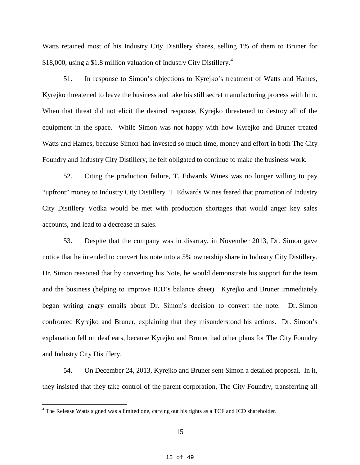Watts retained most of his Industry City Distillery shares, selling 1% of them to Bruner for \$18,000, using a \$1.8 million valuation of Industry City Distillery.<sup>[4](#page-11-0)</sup>

51. In response to Simon's objections to Kyrejko's treatment of Watts and Hames, Kyrejko threatened to leave the business and take his still secret manufacturing process with him. When that threat did not elicit the desired response, Kyrejko threatened to destroy all of the equipment in the space. While Simon was not happy with how Kyrejko and Bruner treated Watts and Hames, because Simon had invested so much time, money and effort in both The City Foundry and Industry City Distillery, he felt obligated to continue to make the business work.

52. Citing the production failure, T. Edwards Wines was no longer willing to pay "upfront" money to Industry City Distillery. T. Edwards Wines feared that promotion of Industry City Distillery Vodka would be met with production shortages that would anger key sales accounts, and lead to a decrease in sales.

53. Despite that the company was in disarray, in November 2013, Dr. Simon gave notice that he intended to convert his note into a 5% ownership share in Industry City Distillery. Dr. Simon reasoned that by converting his Note, he would demonstrate his support for the team and the business (helping to improve ICD's balance sheet). Kyrejko and Bruner immediately began writing angry emails about Dr. Simon's decision to convert the note. Dr. Simon confronted Kyrejko and Bruner, explaining that they misunderstood his actions. Dr. Simon's explanation fell on deaf ears, because Kyrejko and Bruner had other plans for The City Foundry and Industry City Distillery.

<span id="page-14-0"></span>54. On December 24, 2013, Kyrejko and Bruner sent Simon a detailed proposal. In it, they insisted that they take control of the parent corporation, The City Foundry, transferring all

<sup>&</sup>lt;sup>4</sup> The Release Watts signed was a limited one, carving out his rights as a TCF and ICD shareholder.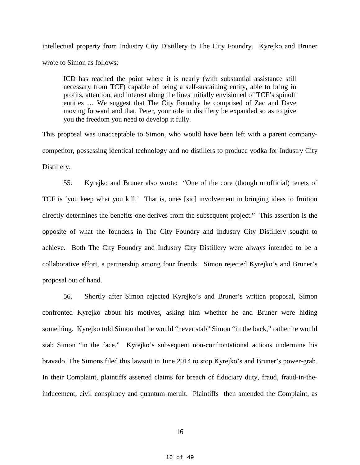intellectual property from Industry City Distillery to The City Foundry. Kyrejko and Bruner wrote to Simon as follows:

ICD has reached the point where it is nearly (with substantial assistance still necessary from TCF) capable of being a self-sustaining entity, able to bring in profits, attention, and interest along the lines initially envisioned of TCF's spinoff entities … We suggest that The City Foundry be comprised of Zac and Dave moving forward and that, Peter, your role in distillery be expanded so as to give you the freedom you need to develop it fully.

This proposal was unacceptable to Simon, who would have been left with a parent companycompetitor, possessing identical technology and no distillers to produce vodka for Industry City Distillery.

55. Kyrejko and Bruner also wrote: "One of the core (though unofficial) tenets of TCF is 'you keep what you kill.' That is, ones [sic] involvement in bringing ideas to fruition directly determines the benefits one derives from the subsequent project." This assertion is the opposite of what the founders in The City Foundry and Industry City Distillery sought to achieve. Both The City Foundry and Industry City Distillery were always intended to be a collaborative effort, a partnership among four friends. Simon rejected Kyrejko's and Bruner's proposal out of hand.

56. Shortly after Simon rejected Kyrejko's and Bruner's written proposal, Simon confronted Kyrejko about his motives, asking him whether he and Bruner were hiding something. Kyrejko told Simon that he would "never stab" Simon "in the back," rather he would stab Simon "in the face." Kyrejko's subsequent non-confrontational actions undermine his bravado. The Simons filed this lawsuit in June 2014 to stop Kyrejko's and Bruner's power-grab. In their Complaint, plaintiffs asserted claims for breach of fiduciary duty, fraud, fraud-in-theinducement, civil conspiracy and quantum meruit. Plaintiffs then amended the Complaint, as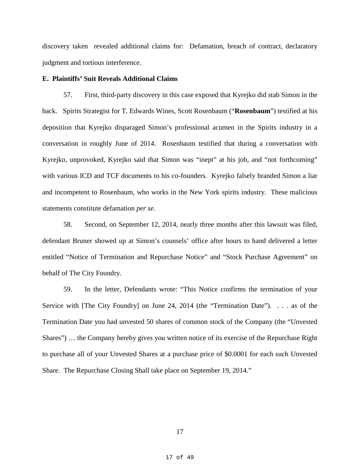discovery taken revealed additional claims for: Defamation, breach of contract, declaratory judgment and tortious interference.

## **E. Plaintiffs' Suit Reveals Additional Claims**

57. First, third-party discovery in this case exposed that Kyrejko did stab Simon in the back. Spirits Strategist for T. Edwards Wines, Scott Rosenbaum ("**Rosenbaum**") testified at his deposition that Kyrejko disparaged Simon's professional acumen in the Spirits industry in a conversation in roughly June of 2014. Rosenbaum testified that during a conversation with Kyrejko, unprovoked, Kyrejko said that Simon was "inept" at his job, and "not forthcoming" with various ICD and TCF documents to his co-founders. Kyrejko falsely branded Simon a liar and incompetent to Rosenbaum, who works in the New York spirits industry. These malicious statements constitute defamation *per se*.

58. Second, on September 12, 2014, nearly three months after this lawsuit was filed, defendant Bruner showed up at Simon's counsels' office after hours to hand delivered a letter entitled "Notice of Termination and Repurchase Notice" and "Stock Purchase Agreement" on behalf of The City Foundry.

59. In the letter, Defendants wrote: "This Notice confirms the termination of your Service with [The City Foundry] on June 24, 2014 (the "Termination Date"). . . . as of the Termination Date you had unvested 50 shares of common stock of the Company (the "Unvested Shares") … the Company hereby gives you written notice of its exercise of the Repurchase Right to purchase all of your Unvested Shares at a purchase price of \$0.0001 for each such Unvested Share. The Repurchase Closing Shall take place on September 19, 2014."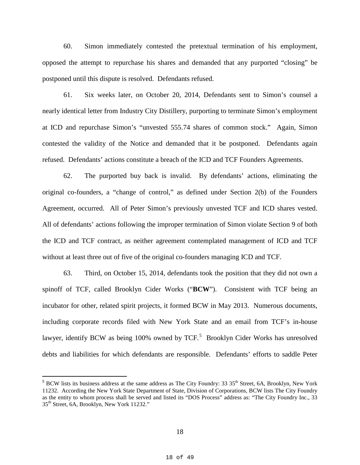60. Simon immediately contested the pretextual termination of his employment, opposed the attempt to repurchase his shares and demanded that any purported "closing" be postponed until this dispute is resolved. Defendants refused.

61. Six weeks later, on October 20, 2014, Defendants sent to Simon's counsel a nearly identical letter from Industry City Distillery, purporting to terminate Simon's employment at ICD and repurchase Simon's "unvested 555.74 shares of common stock." Again, Simon contested the validity of the Notice and demanded that it be postponed. Defendants again refused. Defendants' actions constitute a breach of the ICD and TCF Founders Agreements.

62. The purported buy back is invalid. By defendants' actions, eliminating the original co-founders, a "change of control," as defined under Section 2(b) of the Founders Agreement, occurred. All of Peter Simon's previously unvested TCF and ICD shares vested. All of defendants' actions following the improper termination of Simon violate Section 9 of both the ICD and TCF contract, as neither agreement contemplated management of ICD and TCF without at least three out of five of the original co-founders managing ICD and TCF.

63. Third, on October 15, 2014, defendants took the position that they did not own a spinoff of TCF, called Brooklyn Cider Works ("**BCW**"). Consistent with TCF being an incubator for other, related spirit projects, it formed BCW in May 2013. Numerous documents, including corporate records filed with New York State and an email from TCF's in-house lawyer, identify BCW as being 100% owned by TCF.<sup>[5](#page-14-0)</sup> Brooklyn Cider Works has unresolved debts and liabilities for which defendants are responsible. Defendants' efforts to saddle Peter

<span id="page-17-0"></span> $5$  BCW lists its business address at the same address as The City Foundry: 33 35<sup>th</sup> Street, 6A, Brooklyn, New York 11232. According the New York State Department of State, Division of Corporations, BCW lists The City Foundry as the entity to whom process shall be served and listed its "DOS Process" address as: "The City Foundry Inc., 33 35th Street, 6A, Brooklyn, New York 11232."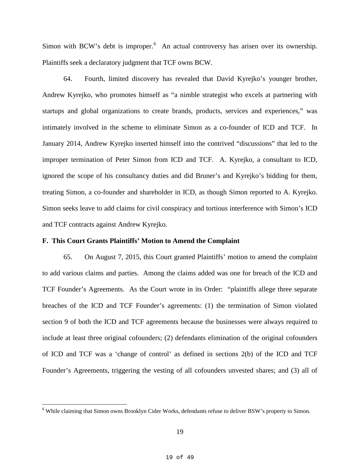Simon with BCW's debt is improper.<sup>[6](#page-17-0)</sup> An actual controversy has arisen over its ownership. Plaintiffs seek a declaratory judgment that TCF owns BCW.

64. Fourth, limited discovery has revealed that David Kyrejko's younger brother, Andrew Kyrejko, who promotes himself as "a nimble strategist who excels at partnering with startups and global organizations to create brands, products, services and experiences," was intimately involved in the scheme to eliminate Simon as a co-founder of ICD and TCF. In January 2014, Andrew Kyrejko inserted himself into the contrived "discussions" that led to the improper termination of Peter Simon from ICD and TCF. A. Kyrejko, a consultant to ICD, ignored the scope of his consultancy duties and did Bruner's and Kyrejko's bidding for them, treating Simon, a co-founder and shareholder in ICD, as though Simon reported to A. Kyrejko. Simon seeks leave to add claims for civil conspiracy and tortious interference with Simon's ICD and TCF contracts against Andrew Kyrejko.

### **F. This Court Grants Plaintiffs' Motion to Amend the Complaint**

65. On August 7, 2015, this Court granted Plaintiffs' motion to amend the complaint to add various claims and parties. Among the claims added was one for breach of the ICD and TCF Founder's Agreements. As the Court wrote in its Order: "plaintiffs allege three separate breaches of the ICD and TCF Founder's agreements: (1) the termination of Simon violated section 9 of both the ICD and TCF agreements because the businesses were always required to include at least three original cofounders; (2) defendants elimination of the original cofounders of ICD and TCF was a 'change of control' as defined in sections 2(b) of the ICD and TCF Founder's Agreements, triggering the vesting of all cofounders unvested shares; and (3) all of

<span id="page-18-0"></span><sup>&</sup>lt;sup>6</sup> While claiming that Simon owns Brooklyn Cider Works, defendants refuse to deliver BSW's property to Simon.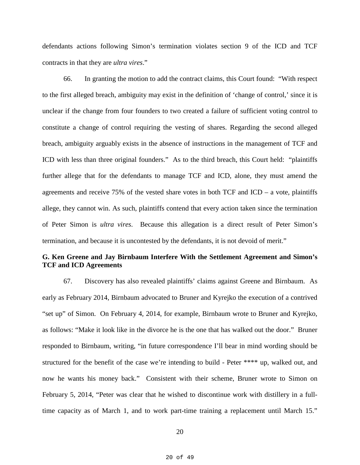defendants actions following Simon's termination violates section 9 of the ICD and TCF contracts in that they are *ultra vires*."

66. In granting the motion to add the contract claims, this Court found: "With respect to the first alleged breach, ambiguity may exist in the definition of 'change of control,' since it is unclear if the change from four founders to two created a failure of sufficient voting control to constitute a change of control requiring the vesting of shares. Regarding the second alleged breach, ambiguity arguably exists in the absence of instructions in the management of TCF and ICD with less than three original founders." As to the third breach, this Court held: "plaintiffs further allege that for the defendants to manage TCF and ICD, alone, they must amend the agreements and receive 75% of the vested share votes in both  $TCF$  and  $ICD - a$  vote, plaintiffs allege, they cannot win. As such, plaintiffs contend that every action taken since the termination of Peter Simon is *ultra vires*. Because this allegation is a direct result of Peter Simon's termination, and because it is uncontested by the defendants, it is not devoid of merit."

# **G. Ken Greene and Jay Birnbaum Interfere With the Settlement Agreement and Simon's TCF and ICD Agreements**

67. Discovery has also revealed plaintiffs' claims against Greene and Birnbaum. As early as February 2014, Birnbaum advocated to Bruner and Kyrejko the execution of a contrived "set up" of Simon. On February 4, 2014, for example, Birnbaum wrote to Bruner and Kyrejko, as follows: "Make it look like in the divorce he is the one that has walked out the door." Bruner responded to Birnbaum, writing, "in future correspondence I'll bear in mind wording should be structured for the benefit of the case we're intending to build - Peter \*\*\*\* up, walked out, and now he wants his money back." Consistent with their scheme, Bruner wrote to Simon on February 5, 2014, "Peter was clear that he wished to discontinue work with distillery in a fulltime capacity as of March 1, and to work part-time training a replacement until March 15."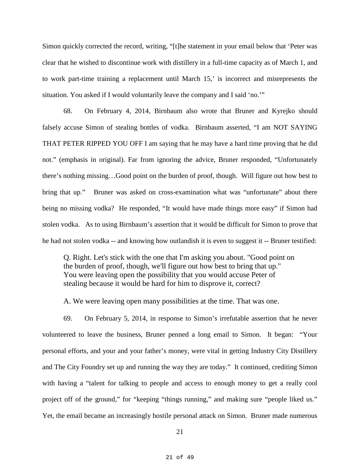Simon quickly corrected the record, writing, "[t]he statement in your email below that 'Peter was clear that he wished to discontinue work with distillery in a full-time capacity as of March 1, and to work part-time training a replacement until March 15,' is incorrect and misrepresents the situation. You asked if I would voluntarily leave the company and I said 'no.'"

68. On February 4, 2014, Birnbaum also wrote that Bruner and Kyrejko should falsely accuse Simon of stealing bottles of vodka. Birnbaum asserted, "I am NOT SAYING THAT PETER RIPPED YOU OFF I am saying that he may have a hard time proving that he did not." (emphasis in original). Far from ignoring the advice, Bruner responded, "Unfortunately there's nothing missing…Good point on the burden of proof, though. Will figure out how best to bring that up." Bruner was asked on cross-examination what was "unfortunate" about there being no missing vodka? He responded, "It would have made things more easy" if Simon had stolen vodka. As to using Birnbaum's assertion that it would be difficult for Simon to prove that he had not stolen vodka -- and knowing how outlandish it is even to suggest it -- Bruner testified:

Q. Right. Let's stick with the one that I'm asking you about. "Good point on the burden of proof, though, we'll figure out how best to bring that up." You were leaving open the possibility that you would accuse Peter of stealing because it would be hard for him to disprove it, correct?

A. We were leaving open many possibilities at the time. That was one.

69. On February 5, 2014, in response to Simon's irrefutable assertion that he never volunteered to leave the business, Bruner penned a long email to Simon. It began: "Your personal efforts, and your and your father's money, were vital in getting Industry City Distillery and The City Foundry set up and running the way they are today." It continued, crediting Simon with having a "talent for talking to people and access to enough money to get a really cool project off of the ground," for "keeping "things running," and making sure "people liked us." Yet, the email became an increasingly hostile personal attack on Simon. Bruner made numerous

<sup>21</sup>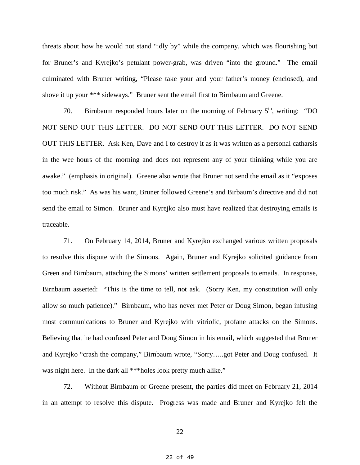threats about how he would not stand "idly by" while the company, which was flourishing but for Bruner's and Kyrejko's petulant power-grab, was driven "into the ground." The email culminated with Bruner writing, "Please take your and your father's money (enclosed), and shove it up your \*\*\* sideways." Bruner sent the email first to Birnbaum and Greene.

70. Birnbaum responded hours later on the morning of February  $5<sup>th</sup>$ , writing: "DO NOT SEND OUT THIS LETTER. DO NOT SEND OUT THIS LETTER. DO NOT SEND OUT THIS LETTER. Ask Ken, Dave and I to destroy it as it was written as a personal catharsis in the wee hours of the morning and does not represent any of your thinking while you are awake." (emphasis in original). Greene also wrote that Bruner not send the email as it "exposes too much risk." As was his want, Bruner followed Greene's and Birbaum's directive and did not send the email to Simon. Bruner and Kyrejko also must have realized that destroying emails is traceable.

71. On February 14, 2014, Bruner and Kyrejko exchanged various written proposals to resolve this dispute with the Simons. Again, Bruner and Kyrejko solicited guidance from Green and Birnbaum, attaching the Simons' written settlement proposals to emails. In response, Birnbaum asserted: "This is the time to tell, not ask. (Sorry Ken, my constitution will only allow so much patience)." Birnbaum, who has never met Peter or Doug Simon, began infusing most communications to Bruner and Kyrejko with vitriolic, profane attacks on the Simons. Believing that he had confused Peter and Doug Simon in his email, which suggested that Bruner and Kyrejko "crash the company," Birnbaum wrote, "Sorry…..got Peter and Doug confused. It was night here. In the dark all \*\*\*holes look pretty much alike."

72. Without Birnbaum or Greene present, the parties did meet on February 21, 2014 in an attempt to resolve this dispute. Progress was made and Bruner and Kyrejko felt the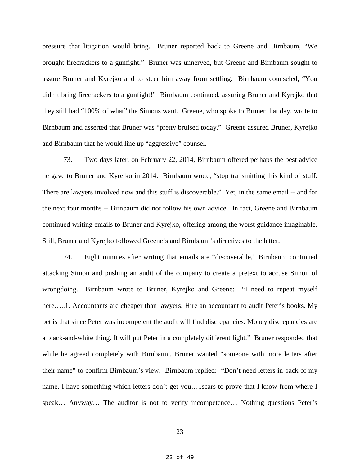pressure that litigation would bring. Bruner reported back to Greene and Birnbaum, "We brought firecrackers to a gunfight." Bruner was unnerved, but Greene and Birnbaum sought to assure Bruner and Kyrejko and to steer him away from settling. Birnbaum counseled, "You didn't bring firecrackers to a gunfight!" Birnbaum continued, assuring Bruner and Kyrejko that they still had "100% of what" the Simons want. Greene, who spoke to Bruner that day, wrote to Birnbaum and asserted that Bruner was "pretty bruised today." Greene assured Bruner, Kyrejko and Birnbaum that he would line up "aggressive" counsel.

73. Two days later, on February 22, 2014, Birnbaum offered perhaps the best advice he gave to Bruner and Kyrejko in 2014. Birnbaum wrote, "stop transmitting this kind of stuff. There are lawyers involved now and this stuff is discoverable." Yet, in the same email -- and for the next four months -- Birnbaum did not follow his own advice. In fact, Greene and Birnbaum continued writing emails to Bruner and Kyrejko, offering among the worst guidance imaginable. Still, Bruner and Kyrejko followed Greene's and Birnbaum's directives to the letter.

74. Eight minutes after writing that emails are "discoverable," Birnbaum continued attacking Simon and pushing an audit of the company to create a pretext to accuse Simon of wrongdoing. Birnbaum wrote to Bruner, Kyrejko and Greene: "I need to repeat myself here…..1. Accountants are cheaper than lawyers. Hire an accountant to audit Peter's books. My bet is that since Peter was incompetent the audit will find discrepancies. Money discrepancies are a black-and-white thing. It will put Peter in a completely different light." Bruner responded that while he agreed completely with Birnbaum, Bruner wanted "someone with more letters after their name" to confirm Birnbaum's view. Birnbaum replied: "Don't need letters in back of my name. I have something which letters don't get you…..scars to prove that I know from where I speak… Anyway… The auditor is not to verify incompetence… Nothing questions Peter's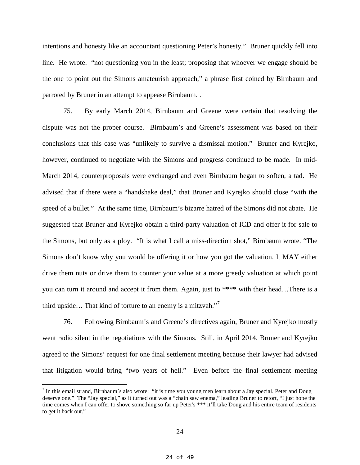intentions and honesty like an accountant questioning Peter's honesty." Bruner quickly fell into line. He wrote: "not questioning you in the least; proposing that whoever we engage should be the one to point out the Simons amateurish approach," a phrase first coined by Birnbaum and parroted by Bruner in an attempt to appease Birnbaum. .

75. By early March 2014, Birnbaum and Greene were certain that resolving the dispute was not the proper course. Birnbaum's and Greene's assessment was based on their conclusions that this case was "unlikely to survive a dismissal motion." Bruner and Kyrejko, however, continued to negotiate with the Simons and progress continued to be made. In mid-March 2014, counterproposals were exchanged and even Birnbaum began to soften, a tad. He advised that if there were a "handshake deal," that Bruner and Kyrejko should close "with the speed of a bullet." At the same time, Birnbaum's bizarre hatred of the Simons did not abate. He suggested that Bruner and Kyrejko obtain a third-party valuation of ICD and offer it for sale to the Simons, but only as a ploy. "It is what I call a miss-direction shot," Birnbaum wrote. "The Simons don't know why you would be offering it or how you got the valuation. It MAY either drive them nuts or drive them to counter your value at a more greedy valuation at which point you can turn it around and accept it from them. Again, just to \*\*\*\* with their head…There is a third upside... That kind of torture to an enemy is a mitzvah. $17$  $17$ 

76. Following Birnbaum's and Greene's directives again, Bruner and Kyrejko mostly went radio silent in the negotiations with the Simons. Still, in April 2014, Bruner and Kyrejko agreed to the Simons' request for one final settlement meeting because their lawyer had advised that litigation would bring "two years of hell." Even before the final settlement meeting

 $<sup>7</sup>$  In this email strand, Birnbaum's also wrote: "it is time you young men learn about a Jay special. Peter and Doug</sup> deserve one." The "Jay special," as it turned out was a "chain saw enema," leading Bruner to retort, "I just hope the time comes when I can offer to shove something so far up Peter's \*\*\* it'll take Doug and his entire team of residents to get it back out."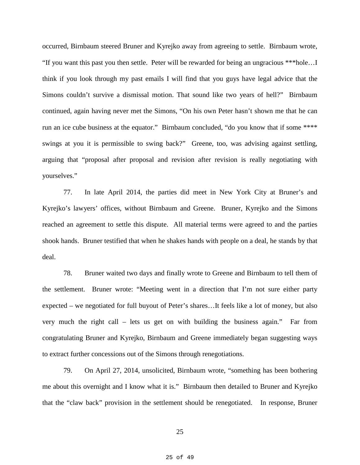occurred, Birnbaum steered Bruner and Kyrejko away from agreeing to settle. Birnbaum wrote, "If you want this past you then settle. Peter will be rewarded for being an ungracious \*\*\*hole…I think if you look through my past emails I will find that you guys have legal advice that the Simons couldn't survive a dismissal motion. That sound like two years of hell?" Birnbaum continued, again having never met the Simons, "On his own Peter hasn't shown me that he can run an ice cube business at the equator." Birnbaum concluded, "do you know that if some \*\*\*\* swings at you it is permissible to swing back?" Greene, too, was advising against settling, arguing that "proposal after proposal and revision after revision is really negotiating with yourselves."

77. In late April 2014, the parties did meet in New York City at Bruner's and Kyrejko's lawyers' offices, without Birnbaum and Greene. Bruner, Kyrejko and the Simons reached an agreement to settle this dispute. All material terms were agreed to and the parties shook hands. Bruner testified that when he shakes hands with people on a deal, he stands by that deal.

78. Bruner waited two days and finally wrote to Greene and Birnbaum to tell them of the settlement. Bruner wrote: "Meeting went in a direction that I'm not sure either party expected – we negotiated for full buyout of Peter's shares…It feels like a lot of money, but also very much the right call – lets us get on with building the business again." Far from congratulating Bruner and Kyrejko, Birnbaum and Greene immediately began suggesting ways to extract further concessions out of the Simons through renegotiations.

79. On April 27, 2014, unsolicited, Birnbaum wrote, "something has been bothering me about this overnight and I know what it is." Birnbaum then detailed to Bruner and Kyrejko that the "claw back" provision in the settlement should be renegotiated. In response, Bruner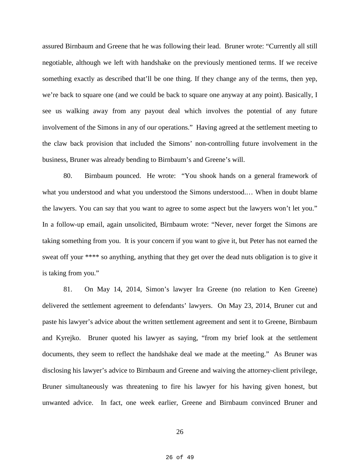assured Birnbaum and Greene that he was following their lead. Bruner wrote: "Currently all still negotiable, although we left with handshake on the previously mentioned terms. If we receive something exactly as described that'll be one thing. If they change any of the terms, then yep, we're back to square one (and we could be back to square one anyway at any point). Basically, I see us walking away from any payout deal which involves the potential of any future involvement of the Simons in any of our operations." Having agreed at the settlement meeting to the claw back provision that included the Simons' non-controlling future involvement in the business, Bruner was already bending to Birnbaum's and Greene's will.

80. Birnbaum pounced. He wrote: "You shook hands on a general framework of what you understood and what you understood the Simons understood.… When in doubt blame the lawyers. You can say that you want to agree to some aspect but the lawyers won't let you." In a follow-up email, again unsolicited, Birnbaum wrote: "Never, never forget the Simons are taking something from you. It is your concern if you want to give it, but Peter has not earned the sweat off your \*\*\*\* so anything, anything that they get over the dead nuts obligation is to give it is taking from you."

81. On May 14, 2014, Simon's lawyer Ira Greene (no relation to Ken Greene) delivered the settlement agreement to defendants' lawyers. On May 23, 2014, Bruner cut and paste his lawyer's advice about the written settlement agreement and sent it to Greene, Birnbaum and Kyrejko. Bruner quoted his lawyer as saying, "from my brief look at the settlement documents, they seem to reflect the handshake deal we made at the meeting." As Bruner was disclosing his lawyer's advice to Birnbaum and Greene and waiving the attorney-client privilege, Bruner simultaneously was threatening to fire his lawyer for his having given honest, but unwanted advice. In fact, one week earlier, Greene and Birnbaum convinced Bruner and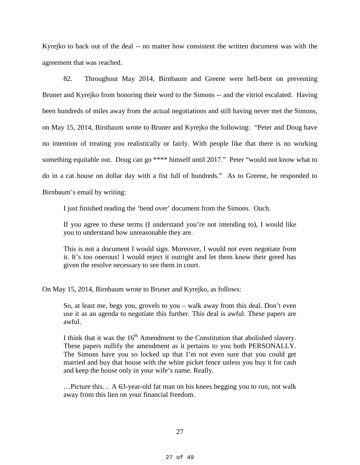Kyrejko to back out of the deal -- no matter how consistent the written document was with the agreement that was reached.

82. Throughout May 2014, Birnbaum and Greene were hell-bent on preventing Bruner and Kyrejko from honoring their word to the Simons -- and the vitriol escalated. Having been hundreds of miles away from the actual negotiations and still having never met the Simons, on May 15, 2014, Birnbaum wrote to Bruner and Kyrejko the following: "Peter and Doug have no intention of treating you realistically or fairly. With people like that there is no working something equitable out. Doug can go \*\*\*\* himself until 2017." Peter "would not know what to do in a cat house on dollar day with a fist full of hundreds." As to Greene, he responded to Birnbaum's email by writing:

I just finished reading the 'bend over' document from the Simons. Ouch.

If you agree to these terms (I understand you're not intending to), I would like you to understand how unreasonable they are.

This is not a document I would sign. Moreover, I would not even negotiate from it. It's too onerous! I would reject it outright and let them know their greed has given the resolve necessary to see them in court.

On May 15, 2014, Birnbaum wrote to Bruner and Kyrejko, as follows:

So, at least me, begs you, grovels to you – walk away from this deal. Don't even use it as an agenda to negotiate this further. This deal is awful. These papers are awful.

I think that it was the  $16<sup>th</sup>$  Amendment to the Constitution that abolished slavery. These papers nullify the amendment as it pertains to you both PERSONALLY. The Simons have you so locked up that I'm not even sure that you could get married and buy that house with the white picket fence unless you buy it for cash and keep the house only in your wife's name. Really.

…Picture this… A 63-year-old fat man on his knees begging you to run, not walk away from this lien on your financial freedom.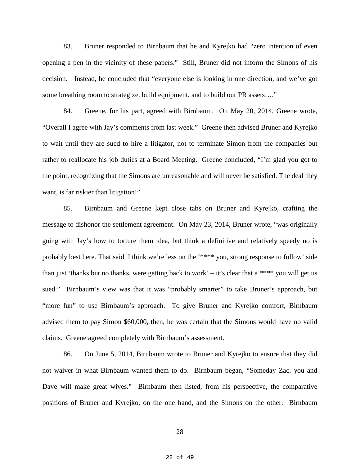83. Bruner responded to Birnbaum that he and Kyrejko had "zero intention of even opening a pen in the vicinity of these papers." Still, Bruner did not inform the Simons of his decision. Instead, he concluded that "everyone else is looking in one direction, and we've got some breathing room to strategize, build equipment, and to build our PR assets…."

84. Greene, for his part, agreed with Birnbaum. On May 20, 2014, Greene wrote, "Overall I agree with Jay's comments from last week." Greene then advised Bruner and Kyrejko to wait until they are sued to hire a litigator, not to terminate Simon from the companies but rather to reallocate his job duties at a Board Meeting. Greene concluded, "I'm glad you got to the point, recognizing that the Simons are unreasonable and will never be satisfied. The deal they want, is far riskier than litigation!"

85. Birnbaum and Greene kept close tabs on Bruner and Kyrejko, crafting the message to dishonor the settlement agreement. On May 23, 2014, Bruner wrote, "was originally going with Jay's how to torture them idea, but think a definitive and relatively speedy no is probably best here. That said, I think we're less on the '\*\*\*\* you, strong response to follow' side than just 'thanks but no thanks, were getting back to work' – it's clear that a \*\*\*\* you will get us sued." Birnbaum's view was that it was "probably smarter" to take Bruner's approach, but "more fun" to use Birnbaum's approach. To give Bruner and Kyrejko comfort, Birnbaum advised them to pay Simon \$60,000, then, he was certain that the Simons would have no valid claims. Greene agreed completely with Birnbaum's assessment.

86. On June 5, 2014, Birnbaum wrote to Bruner and Kyrejko to ensure that they did not waiver in what Birnbaum wanted them to do. Birnbaum began, "Someday Zac, you and Dave will make great wives." Birnbaum then listed, from his perspective, the comparative positions of Bruner and Kyrejko, on the one hand, and the Simons on the other. Birnbaum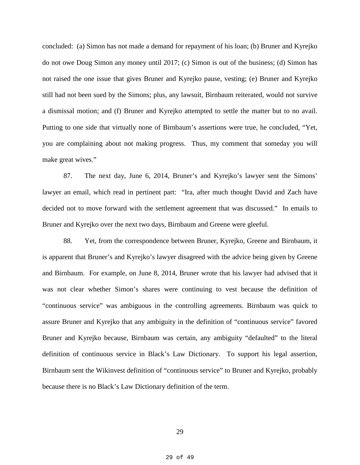concluded: (a) Simon has not made a demand for repayment of his loan; (b) Bruner and Kyrejko do not owe Doug Simon any money until 2017; (c) Simon is out of the business; (d) Simon has not raised the one issue that gives Bruner and Kyrejko pause, vesting; (e) Bruner and Kyrejko still had not been sued by the Simons; plus, any lawsuit, Birnbaum reiterated, would not survive a dismissal motion; and (f) Bruner and Kyrejko attempted to settle the matter but to no avail. Putting to one side that virtually none of Birnbaum's assertions were true, he concluded, "Yet, you are complaining about not making progress. Thus, my comment that someday you will make great wives."

87. The next day, June 6, 2014, Bruner's and Kyrejko's lawyer sent the Simons' lawyer an email, which read in pertinent part: "Ira, after much thought David and Zach have decided not to move forward with the settlement agreement that was discussed." In emails to Bruner and Kyrejko over the next two days, Birnbaum and Greene were gleeful.

88. Yet, from the correspondence between Bruner, Kyrejko, Greene and Birnbaum, it is apparent that Bruner's and Kyrejko's lawyer disagreed with the advice being given by Greene and Birnbaum. For example, on June 8, 2014, Bruner wrote that his lawyer had advised that it was not clear whether Simon's shares were continuing to vest because the definition of "continuous service" was ambiguous in the controlling agreements. Birnbaum was quick to assure Bruner and Kyrejko that any ambiguity in the definition of "continuous service" favored Bruner and Kyrejko because, Birnbaum was certain, any ambiguity "defaulted" to the literal definition of continuous service in Black's Law Dictionary. To support his legal assertion, Birnbaum sent the Wikinvest definition of "continuous service" to Bruner and Kyrejko, probably because there is no Black's Law Dictionary definition of the term.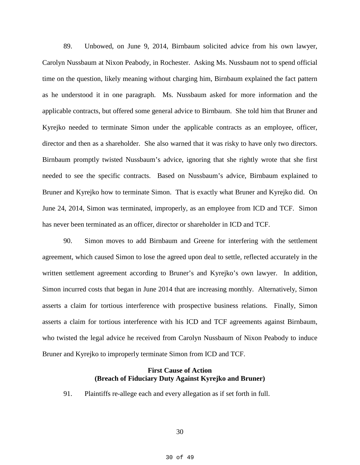89. Unbowed, on June 9, 2014, Birnbaum solicited advice from his own lawyer, Carolyn Nussbaum at Nixon Peabody, in Rochester. Asking Ms. Nussbaum not to spend official time on the question, likely meaning without charging him, Birnbaum explained the fact pattern as he understood it in one paragraph. Ms. Nussbaum asked for more information and the applicable contracts, but offered some general advice to Birnbaum. She told him that Bruner and Kyrejko needed to terminate Simon under the applicable contracts as an employee, officer, director and then as a shareholder. She also warned that it was risky to have only two directors. Birnbaum promptly twisted Nussbaum's advice, ignoring that she rightly wrote that she first needed to see the specific contracts. Based on Nussbaum's advice, Birnbaum explained to Bruner and Kyrejko how to terminate Simon. That is exactly what Bruner and Kyrejko did. On June 24, 2014, Simon was terminated, improperly, as an employee from ICD and TCF. Simon has never been terminated as an officer, director or shareholder in ICD and TCF.

90. Simon moves to add Birnbaum and Greene for interfering with the settlement agreement, which caused Simon to lose the agreed upon deal to settle, reflected accurately in the written settlement agreement according to Bruner's and Kyrejko's own lawyer. In addition, Simon incurred costs that began in June 2014 that are increasing monthly. Alternatively, Simon asserts a claim for tortious interference with prospective business relations. Finally, Simon asserts a claim for tortious interference with his ICD and TCF agreements against Birnbaum, who twisted the legal advice he received from Carolyn Nussbaum of Nixon Peabody to induce Bruner and Kyrejko to improperly terminate Simon from ICD and TCF.

## **First Cause of Action (Breach of Fiduciary Duty Against Kyrejko and Bruner)**

91. Plaintiffs re-allege each and every allegation as if set forth in full.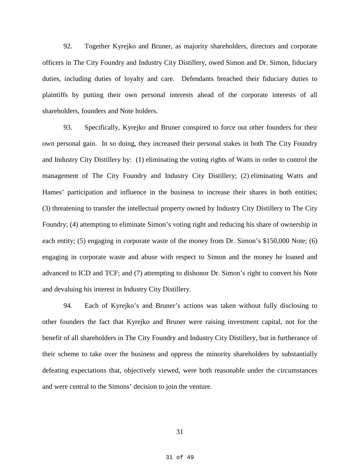92. Together Kyrejko and Bruner, as majority shareholders, directors and corporate officers in The City Foundry and Industry City Distillery, owed Simon and Dr. Simon, fiduciary duties, including duties of loyalty and care. Defendants breached their fiduciary duties to plaintiffs by putting their own personal interests ahead of the corporate interests of all shareholders, founders and Note holders.

93. Specifically, Kyrejko and Bruner conspired to force out other founders for their own personal gain. In so doing, they increased their personal stakes in both The City Foundry and Industry City Distillery by: (1) eliminating the voting rights of Watts in order to control the management of The City Foundry and Industry City Distillery; (2) eliminating Watts and Hames' participation and influence in the business to increase their shares in both entities; (3) threatening to transfer the intellectual property owned by Industry City Distillery to The City Foundry; (4) attempting to eliminate Simon's voting right and reducing his share of ownership in each entity; (5) engaging in corporate waste of the money from Dr. Simon's \$150,000 Note; (6) engaging in corporate waste and abuse with respect to Simon and the money he loaned and advanced to ICD and TCF; and (7) attempting to dishonor Dr. Simon's right to convert his Note and devaluing his interest in Industry City Distillery.

94. Each of Kyrejko's and Bruner's actions was taken without fully disclosing to other founders the fact that Kyrejko and Bruner were raising investment capital, not for the benefit of all shareholders in The City Foundry and Industry City Distillery, but in furtherance of their scheme to take over the business and oppress the minority shareholders by substantially defeating expectations that, objectively viewed, were both reasonable under the circumstances and were central to the Simons' decision to join the venture.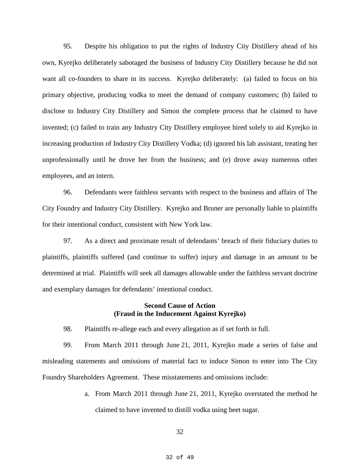95. Despite his obligation to put the rights of Industry City Distillery ahead of his own, Kyrejko deliberately sabotaged the business of Industry City Distillery because he did not want all co-founders to share in its success. Kyrejko deliberately: (a) failed to focus on his primary objective, producing vodka to meet the demand of company customers; (b) failed to disclose to Industry City Distillery and Simon the complete process that he claimed to have invented; (c) failed to train any Industry City Distillery employee hired solely to aid Kyrejko in increasing production of Industry City Distillery Vodka; (d) ignored his lab assistant, treating her unprofessionally until he drove her from the business; and (e) drove away numerous other employees, and an intern.

96. Defendants were faithless servants with respect to the business and affairs of The City Foundry and Industry City Distillery. Kyrejko and Bruner are personally liable to plaintiffs for their intentional conduct, consistent with New York law.

97. As a direct and proximate result of defendants' breach of their fiduciary duties to plaintiffs, plaintiffs suffered (and continue to suffer) injury and damage in an amount to be determined at trial. Plaintiffs will seek all damages allowable under the faithless servant doctrine and exemplary damages for defendants' intentional conduct.

## **Second Cause of Action (Fraud in the Inducement Against Kyrejko)**

98. Plaintiffs re-allege each and every allegation as if set forth in full.

99. From March 2011 through June 21, 2011, Kyrejko made a series of false and misleading statements and omissions of material fact to induce Simon to enter into The City Foundry Shareholders Agreement. These misstatements and omissions include:

> a. From March 2011 through June 21, 2011, Kyrejko overstated the method he claimed to have invented to distill vodka using beet sugar.

> > 32

32 of 49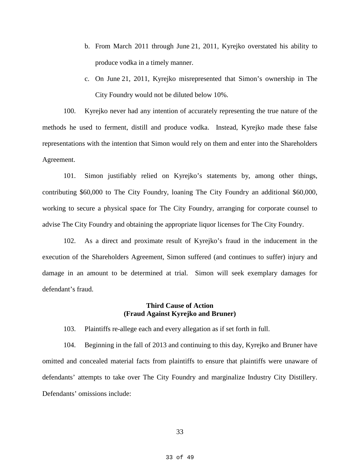- b. From March 2011 through June 21, 2011, Kyrejko overstated his ability to produce vodka in a timely manner.
- c. On June 21, 2011, Kyrejko misrepresented that Simon's ownership in The City Foundry would not be diluted below 10%.

100. Kyrejko never had any intention of accurately representing the true nature of the methods he used to ferment, distill and produce vodka. Instead, Kyrejko made these false representations with the intention that Simon would rely on them and enter into the Shareholders Agreement.

101. Simon justifiably relied on Kyrejko's statements by, among other things, contributing \$60,000 to The City Foundry, loaning The City Foundry an additional \$60,000, working to secure a physical space for The City Foundry, arranging for corporate counsel to advise The City Foundry and obtaining the appropriate liquor licenses for The City Foundry.

102. As a direct and proximate result of Kyrejko's fraud in the inducement in the execution of the Shareholders Agreement, Simon suffered (and continues to suffer) injury and damage in an amount to be determined at trial. Simon will seek exemplary damages for defendant's fraud.

## **Third Cause of Action (Fraud Against Kyrejko and Bruner)**

103. Plaintiffs re-allege each and every allegation as if set forth in full.

104. Beginning in the fall of 2013 and continuing to this day, Kyrejko and Bruner have omitted and concealed material facts from plaintiffs to ensure that plaintiffs were unaware of defendants' attempts to take over The City Foundry and marginalize Industry City Distillery. Defendants' omissions include: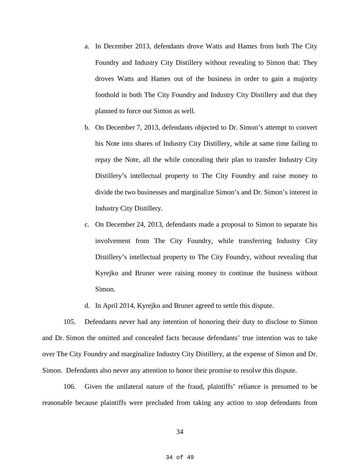- a. In December 2013, defendants drove Watts and Hames from both The City Foundry and Industry City Distillery without revealing to Simon that: They droves Watts and Hames out of the business in order to gain a majority foothold in both The City Foundry and Industry City Distillery and that they planned to force out Simon as well.
- b. On December 7, 2013, defendants objected to Dr. Simon's attempt to convert his Note into shares of Industry City Distillery, while at same time failing to repay the Note, all the while concealing their plan to transfer Industry City Distillery's intellectual property to The City Foundry and raise money to divide the two businesses and marginalize Simon's and Dr. Simon's interest in Industry City Distillery.
- c. On December 24, 2013, defendants made a proposal to Simon to separate his involvement from The City Foundry, while transferring Industry City Distillery's intellectual property to The City Foundry, without revealing that Kyrejko and Bruner were raising money to continue the business without Simon.
- d. In April 2014, Kyrejko and Bruner agreed to settle this dispute.

105. Defendants never had any intention of honoring their duty to disclose to Simon and Dr. Simon the omitted and concealed facts because defendants' true intention was to take over The City Foundry and marginalize Industry City Distillery, at the expense of Simon and Dr. Simon. Defendants also never any attention to honor their promise to resolve this dispute.

106. Given the unilateral nature of the fraud, plaintiffs' reliance is presumed to be reasonable because plaintiffs were precluded from taking any action to stop defendants from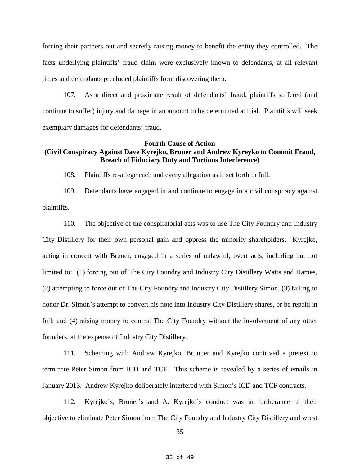forcing their partners out and secretly raising money to benefit the entity they controlled. The facts underlying plaintiffs' fraud claim were exclusively known to defendants, at all relevant times and defendants precluded plaintiffs from discovering them.

107. As a direct and proximate result of defendants' fraud, plaintiffs suffered (and continue to suffer) injury and damage in an amount to be determined at trial. Plaintiffs will seek exemplary damages for defendants' fraud.

## **Fourth Cause of Action (Civil Conspiracy Against Dave Kyrejko, Bruner and Andrew Kyreyko to Commit Fraud, Breach of Fiduciary Duty and Tortious Interference)**

108. Plaintiffs re-allege each and every allegation as if set forth in full.

109. Defendants have engaged in and continue to engage in a civil conspiracy against plaintiffs.

110. The objective of the conspiratorial acts was to use The City Foundry and Industry City Distillery for their own personal gain and oppress the minority shareholders. Kyrejko, acting in concert with Bruner, engaged in a series of unlawful, overt acts, including but not limited to: (1) forcing out of The City Foundry and Industry City Distillery Watts and Hames, (2) attempting to force out of The City Foundry and Industry City Distillery Simon, (3) failing to honor Dr. Simon's attempt to convert his note into Industry City Distillery shares, or be repaid in full; and (4) raising money to control The City Foundry without the involvement of any other founders, at the expense of Industry City Distillery.

111. Scheming with Andrew Kyrejko, Brunner and Kyrejko contrived a pretext to terminate Peter Simon from ICD and TCF. This scheme is revealed by a series of emails in January 2013. Andrew Kyrejko deliberately interfered with Simon's ICD and TCF contracts.

112. Kyrejko's, Bruner's and A. Kyrejko's conduct was in furtherance of their objective to eliminate Peter Simon from The City Foundry and Industry City Distillery and wrest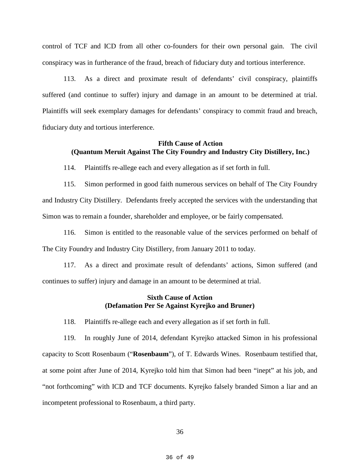control of TCF and ICD from all other co-founders for their own personal gain. The civil conspiracy was in furtherance of the fraud, breach of fiduciary duty and tortious interference.

113. As a direct and proximate result of defendants' civil conspiracy, plaintiffs suffered (and continue to suffer) injury and damage in an amount to be determined at trial. Plaintiffs will seek exemplary damages for defendants' conspiracy to commit fraud and breach, fiduciary duty and tortious interference.

## **Fifth Cause of Action (Quantum Meruit Against The City Foundry and Industry City Distillery, Inc.)**

114. Plaintiffs re-allege each and every allegation as if set forth in full.

115. Simon performed in good faith numerous services on behalf of The City Foundry and Industry City Distillery. Defendants freely accepted the services with the understanding that Simon was to remain a founder, shareholder and employee, or be fairly compensated.

116. Simon is entitled to the reasonable value of the services performed on behalf of The City Foundry and Industry City Distillery, from January 2011 to today.

117. As a direct and proximate result of defendants' actions, Simon suffered (and continues to suffer) injury and damage in an amount to be determined at trial.

## **Sixth Cause of Action (Defamation Per Se Against Kyrejko and Bruner)**

118. Plaintiffs re-allege each and every allegation as if set forth in full.

119. In roughly June of 2014, defendant Kyrejko attacked Simon in his professional capacity to Scott Rosenbaum ("**Rosenbaum**"), of T. Edwards Wines. Rosenbaum testified that, at some point after June of 2014, Kyrejko told him that Simon had been "inept" at his job, and "not forthcoming" with ICD and TCF documents. Kyrejko falsely branded Simon a liar and an incompetent professional to Rosenbaum, a third party.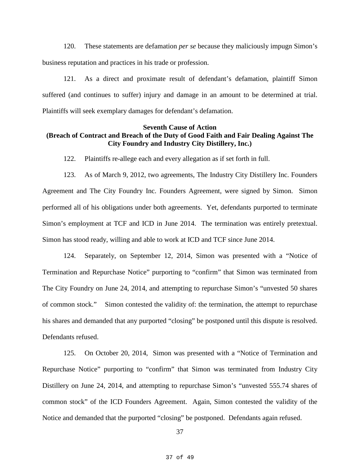120. These statements are defamation *per se* because they maliciously impugn Simon's business reputation and practices in his trade or profession.

121. As a direct and proximate result of defendant's defamation, plaintiff Simon suffered (and continues to suffer) injury and damage in an amount to be determined at trial. Plaintiffs will seek exemplary damages for defendant's defamation.

## **Seventh Cause of Action (Breach of Contract and Breach of the Duty of Good Faith and Fair Dealing Against The City Foundry and Industry City Distillery, Inc.)**

122. Plaintiffs re-allege each and every allegation as if set forth in full.

123. As of March 9, 2012, two agreements, The Industry City Distillery Inc. Founders Agreement and The City Foundry Inc. Founders Agreement, were signed by Simon. Simon performed all of his obligations under both agreements. Yet, defendants purported to terminate Simon's employment at TCF and ICD in June 2014. The termination was entirely pretextual. Simon has stood ready, willing and able to work at ICD and TCF since June 2014.

124. Separately, on September 12, 2014, Simon was presented with a "Notice of Termination and Repurchase Notice" purporting to "confirm" that Simon was terminated from The City Foundry on June 24, 2014, and attempting to repurchase Simon's "unvested 50 shares of common stock." Simon contested the validity of: the termination, the attempt to repurchase his shares and demanded that any purported "closing" be postponed until this dispute is resolved. Defendants refused.

125. On October 20, 2014, Simon was presented with a "Notice of Termination and Repurchase Notice" purporting to "confirm" that Simon was terminated from Industry City Distillery on June 24, 2014, and attempting to repurchase Simon's "unvested 555.74 shares of common stock" of the ICD Founders Agreement. Again, Simon contested the validity of the Notice and demanded that the purported "closing" be postponed. Defendants again refused.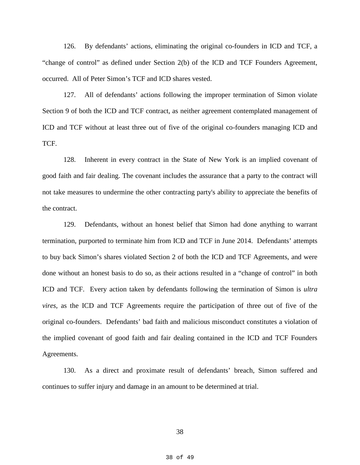126. By defendants' actions, eliminating the original co-founders in ICD and TCF, a "change of control" as defined under Section 2(b) of the ICD and TCF Founders Agreement, occurred. All of Peter Simon's TCF and ICD shares vested.

127. All of defendants' actions following the improper termination of Simon violate Section 9 of both the ICD and TCF contract, as neither agreement contemplated management of ICD and TCF without at least three out of five of the original co-founders managing ICD and TCF.

128. Inherent in every contract in the State of New York is an implied covenant of good faith and fair dealing. The covenant includes the assurance that a party to the contract will not take measures to undermine the other contracting party's ability to appreciate the benefits of the contract.

129. Defendants, without an honest belief that Simon had done anything to warrant termination, purported to terminate him from ICD and TCF in June 2014. Defendants' attempts to buy back Simon's shares violated Section 2 of both the ICD and TCF Agreements, and were done without an honest basis to do so, as their actions resulted in a "change of control" in both ICD and TCF. Every action taken by defendants following the termination of Simon is *ultra vires*, as the ICD and TCF Agreements require the participation of three out of five of the original co-founders. Defendants' bad faith and malicious misconduct constitutes a violation of the implied covenant of good faith and fair dealing contained in the ICD and TCF Founders Agreements.

130. As a direct and proximate result of defendants' breach, Simon suffered and continues to suffer injury and damage in an amount to be determined at trial.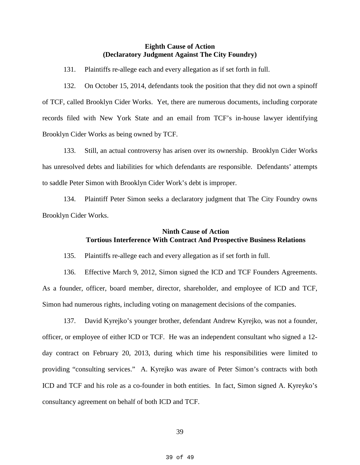## **Eighth Cause of Action (Declaratory Judgment Against The City Foundry)**

131. Plaintiffs re-allege each and every allegation as if set forth in full.

132. On October 15, 2014, defendants took the position that they did not own a spinoff of TCF, called Brooklyn Cider Works. Yet, there are numerous documents, including corporate records filed with New York State and an email from TCF's in-house lawyer identifying Brooklyn Cider Works as being owned by TCF.

133. Still, an actual controversy has arisen over its ownership. Brooklyn Cider Works has unresolved debts and liabilities for which defendants are responsible. Defendants' attempts to saddle Peter Simon with Brooklyn Cider Work's debt is improper.

134. Plaintiff Peter Simon seeks a declaratory judgment that The City Foundry owns Brooklyn Cider Works.

## **Ninth Cause of Action Tortious Interference With Contract And Prospective Business Relations**

135. Plaintiffs re-allege each and every allegation as if set forth in full.

136. Effective March 9, 2012, Simon signed the ICD and TCF Founders Agreements. As a founder, officer, board member, director, shareholder, and employee of ICD and TCF, Simon had numerous rights, including voting on management decisions of the companies.

137. David Kyrejko's younger brother, defendant Andrew Kyrejko, was not a founder, officer, or employee of either ICD or TCF. He was an independent consultant who signed a 12 day contract on February 20, 2013, during which time his responsibilities were limited to providing "consulting services." A. Kyrejko was aware of Peter Simon's contracts with both ICD and TCF and his role as a co-founder in both entities. In fact, Simon signed A. Kyreyko's consultancy agreement on behalf of both ICD and TCF.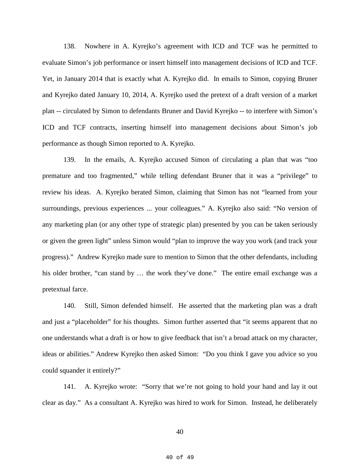138. Nowhere in A. Kyrejko's agreement with ICD and TCF was he permitted to evaluate Simon's job performance or insert himself into management decisions of ICD and TCF. Yet, in January 2014 that is exactly what A. Kyrejko did. In emails to Simon, copying Bruner and Kyrejko dated January 10, 2014, A. Kyrejko used the pretext of a draft version of a market plan -- circulated by Simon to defendants Bruner and David Kyrejko -- to interfere with Simon's ICD and TCF contracts, inserting himself into management decisions about Simon's job performance as though Simon reported to A. Kyrejko.

139. In the emails, A. Kyrejko accused Simon of circulating a plan that was "too premature and too fragmented," while telling defendant Bruner that it was a "privilege" to review his ideas. A. Kyrejko berated Simon, claiming that Simon has not "learned from your surroundings, previous experiences ... your colleagues." A. Kyrejko also said: "No version of any marketing plan (or any other type of strategic plan) presented by you can be taken seriously or given the green light" unless Simon would "plan to improve the way you work (and track your progress)." Andrew Kyrejko made sure to mention to Simon that the other defendants, including his older brother, "can stand by ... the work they've done." The entire email exchange was a pretextual farce.

140. Still, Simon defended himself. He asserted that the marketing plan was a draft and just a "placeholder" for his thoughts. Simon further asserted that "it seems apparent that no one understands what a draft is or how to give feedback that isn't a broad attack on my character, ideas or abilities." Andrew Kyrejko then asked Simon: "Do you think I gave you advice so you could squander it entirely?"

141. A. Kyrejko wrote: "Sorry that we're not going to hold your hand and lay it out clear as day." As a consultant A. Kyrejko was hired to work for Simon. Instead, he deliberately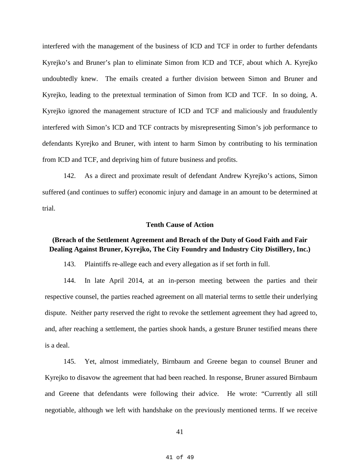interfered with the management of the business of ICD and TCF in order to further defendants Kyrejko's and Bruner's plan to eliminate Simon from ICD and TCF, about which A. Kyrejko undoubtedly knew. The emails created a further division between Simon and Bruner and Kyrejko, leading to the pretextual termination of Simon from ICD and TCF. In so doing, A. Kyrejko ignored the management structure of ICD and TCF and maliciously and fraudulently interfered with Simon's ICD and TCF contracts by misrepresenting Simon's job performance to defendants Kyrejko and Bruner, with intent to harm Simon by contributing to his termination from ICD and TCF, and depriving him of future business and profits.

142. As a direct and proximate result of defendant Andrew Kyrejko's actions, Simon suffered (and continues to suffer) economic injury and damage in an amount to be determined at trial.

#### **Tenth Cause of Action**

# **(Breach of the Settlement Agreement and Breach of the Duty of Good Faith and Fair Dealing Against Bruner, Kyrejko, The City Foundry and Industry City Distillery, Inc.)**

143. Plaintiffs re-allege each and every allegation as if set forth in full.

144. In late April 2014, at an in-person meeting between the parties and their respective counsel, the parties reached agreement on all material terms to settle their underlying dispute. Neither party reserved the right to revoke the settlement agreement they had agreed to, and, after reaching a settlement, the parties shook hands, a gesture Bruner testified means there is a deal.

145. Yet, almost immediately, Birnbaum and Greene began to counsel Bruner and Kyrejko to disavow the agreement that had been reached. In response, Bruner assured Birnbaum and Greene that defendants were following their advice. He wrote: "Currently all still negotiable, although we left with handshake on the previously mentioned terms. If we receive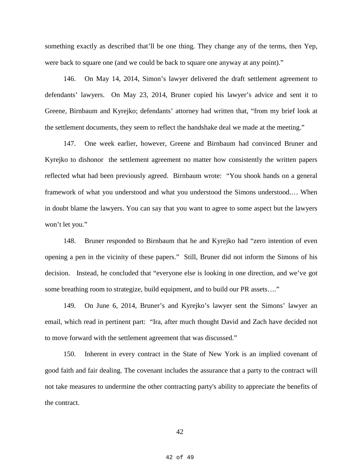something exactly as described that'll be one thing. They change any of the terms, then Yep, were back to square one (and we could be back to square one anyway at any point)."

146. On May 14, 2014, Simon's lawyer delivered the draft settlement agreement to defendants' lawyers. On May 23, 2014, Bruner copied his lawyer's advice and sent it to Greene, Birnbaum and Kyrejko; defendants' attorney had written that, "from my brief look at the settlement documents, they seem to reflect the handshake deal we made at the meeting."

147. One week earlier, however, Greene and Birnbaum had convinced Bruner and Kyrejko to dishonor the settlement agreement no matter how consistently the written papers reflected what had been previously agreed. Birnbaum wrote: "You shook hands on a general framework of what you understood and what you understood the Simons understood.… When in doubt blame the lawyers. You can say that you want to agree to some aspect but the lawyers won't let you."

148. Bruner responded to Birnbaum that he and Kyrejko had "zero intention of even opening a pen in the vicinity of these papers." Still, Bruner did not inform the Simons of his decision. Instead, he concluded that "everyone else is looking in one direction, and we've got some breathing room to strategize, build equipment, and to build our PR assets…."

149. On June 6, 2014, Bruner's and Kyrejko's lawyer sent the Simons' lawyer an email, which read in pertinent part: "Ira, after much thought David and Zach have decided not to move forward with the settlement agreement that was discussed."

150. Inherent in every contract in the State of New York is an implied covenant of good faith and fair dealing. The covenant includes the assurance that a party to the contract will not take measures to undermine the other contracting party's ability to appreciate the benefits of the contract.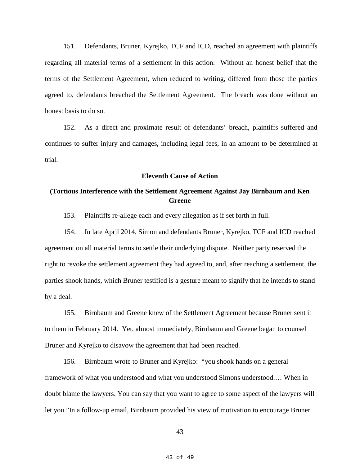151. Defendants, Bruner, Kyrejko, TCF and ICD, reached an agreement with plaintiffs regarding all material terms of a settlement in this action. Without an honest belief that the terms of the Settlement Agreement, when reduced to writing, differed from those the parties agreed to, defendants breached the Settlement Agreement. The breach was done without an honest basis to do so.

152. As a direct and proximate result of defendants' breach, plaintiffs suffered and continues to suffer injury and damages, including legal fees, in an amount to be determined at trial.

#### **Eleventh Cause of Action**

# **(Tortious Interference with the Settlement Agreement Against Jay Birnbaum and Ken Greene**

153. Plaintiffs re-allege each and every allegation as if set forth in full.

154. In late April 2014, Simon and defendants Bruner, Kyrejko, TCF and ICD reached agreement on all material terms to settle their underlying dispute. Neither party reserved the right to revoke the settlement agreement they had agreed to, and, after reaching a settlement, the parties shook hands, which Bruner testified is a gesture meant to signify that he intends to stand by a deal.

155. Birnbaum and Greene knew of the Settlement Agreement because Bruner sent it to them in February 2014. Yet, almost immediately, Birnbaum and Greene began to counsel Bruner and Kyrejko to disavow the agreement that had been reached.

156. Birnbaum wrote to Bruner and Kyrejko: "you shook hands on a general framework of what you understood and what you understood Simons understood.… When in doubt blame the lawyers. You can say that you want to agree to some aspect of the lawyers will let you."In a follow-up email, Birnbaum provided his view of motivation to encourage Bruner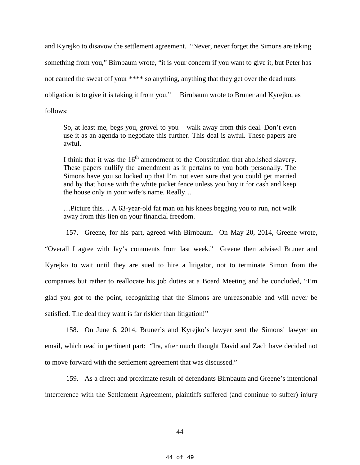and Kyrejko to disavow the settlement agreement. "Never, never forget the Simons are taking something from you," Birnbaum wrote, "it is your concern if you want to give it, but Peter has not earned the sweat off your \*\*\*\* so anything, anything that they get over the dead nuts obligation is to give it is taking it from you." Birnbaum wrote to Bruner and Kyrejko, as follows:

So, at least me, begs you, grovel to you – walk away from this deal. Don't even use it as an agenda to negotiate this further. This deal is awful. These papers are awful.

I think that it was the  $16<sup>th</sup>$  amendment to the Constitution that abolished slavery. These papers nullify the amendment as it pertains to you both personally. The Simons have you so locked up that I'm not even sure that you could get married and by that house with the white picket fence unless you buy it for cash and keep the house only in your wife's name. Really…

…Picture this… A 63-year-old fat man on his knees begging you to run, not walk away from this lien on your financial freedom.

157. Greene, for his part, agreed with Birnbaum. On May 20, 2014, Greene wrote, "Overall I agree with Jay's comments from last week." Greene then advised Bruner and Kyrejko to wait until they are sued to hire a litigator, not to terminate Simon from the companies but rather to reallocate his job duties at a Board Meeting and he concluded, "I'm glad you got to the point, recognizing that the Simons are unreasonable and will never be satisfied. The deal they want is far riskier than litigation!"

158. On June 6, 2014, Bruner's and Kyrejko's lawyer sent the Simons' lawyer an email, which read in pertinent part: "Ira, after much thought David and Zach have decided not to move forward with the settlement agreement that was discussed."

159. As a direct and proximate result of defendants Birnbaum and Greene's intentional interference with the Settlement Agreement, plaintiffs suffered (and continue to suffer) injury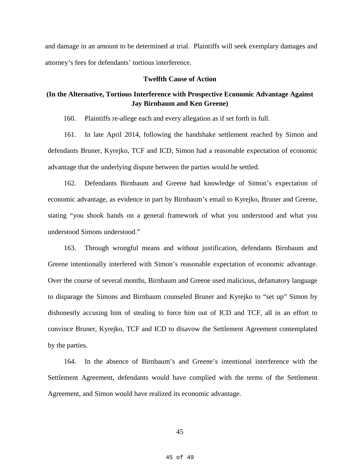and damage in an amount to be determined at trial. Plaintiffs will seek exemplary damages and attorney's fees for defendants' tortious interference.

## **Twelfth Cause of Action**

# **(In the Alternative, Tortious Interference with Prospective Economic Advantage Against Jay Birnbaum and Ken Greene)**

160. Plaintiffs re-allege each and every allegation as if set forth in full.

161. In late April 2014, following the handshake settlement reached by Simon and defendants Bruner, Kyrejko, TCF and ICD, Simon had a reasonable expectation of economic advantage that the underlying dispute between the parties would be settled.

162. Defendants Birnbaum and Greene had knowledge of Simon's expectation of economic advantage, as evidence in part by Birnbaum's email to Kyrejko, Bruner and Greene, stating "you shook hands on a general framework of what you understood and what you understood Simons understood."

163. Through wrongful means and without justification, defendants Birnbaum and Greene intentionally interfered with Simon's reasonable expectation of economic advantage. Over the course of several months, Birnbaum and Greene used malicious, defamatory language to disparage the Simons and Birnbaum counseled Bruner and Kyrejko to "set up" Simon by dishonestly accusing him of stealing to force him out of ICD and TCF, all in an effort to convince Bruner, Kyrejko, TCF and ICD to disavow the Settlement Agreement contemplated by the parties.

164. In the absence of Birnbaum's and Greene's intentional interference with the Settlement Agreement, defendants would have complied with the terms of the Settlement Agreement, and Simon would have realized its economic advantage.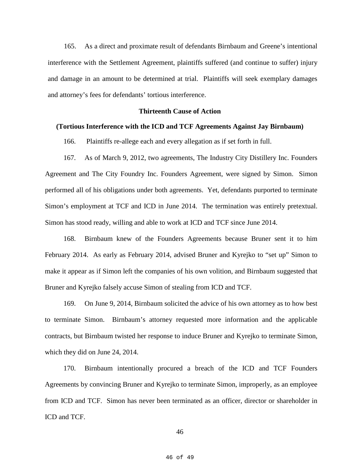165. As a direct and proximate result of defendants Birnbaum and Greene's intentional interference with the Settlement Agreement, plaintiffs suffered (and continue to suffer) injury and damage in an amount to be determined at trial. Plaintiffs will seek exemplary damages and attorney's fees for defendants' tortious interference.

### **Thirteenth Cause of Action**

### **(Tortious Interference with the ICD and TCF Agreements Against Jay Birnbaum)**

166. Plaintiffs re-allege each and every allegation as if set forth in full.

167. As of March 9, 2012, two agreements, The Industry City Distillery Inc. Founders Agreement and The City Foundry Inc. Founders Agreement, were signed by Simon. Simon performed all of his obligations under both agreements. Yet, defendants purported to terminate Simon's employment at TCF and ICD in June 2014. The termination was entirely pretextual. Simon has stood ready, willing and able to work at ICD and TCF since June 2014.

168. Birnbaum knew of the Founders Agreements because Bruner sent it to him February 2014. As early as February 2014, advised Bruner and Kyrejko to "set up" Simon to make it appear as if Simon left the companies of his own volition, and Birnbaum suggested that Bruner and Kyrejko falsely accuse Simon of stealing from ICD and TCF.

169. On June 9, 2014, Birnbaum solicited the advice of his own attorney as to how best to terminate Simon. Birnbaum's attorney requested more information and the applicable contracts, but Birnbaum twisted her response to induce Bruner and Kyrejko to terminate Simon, which they did on June 24, 2014.

170. Birnbaum intentionally procured a breach of the ICD and TCF Founders Agreements by convincing Bruner and Kyrejko to terminate Simon, improperly, as an employee from ICD and TCF. Simon has never been terminated as an officer, director or shareholder in ICD and TCF.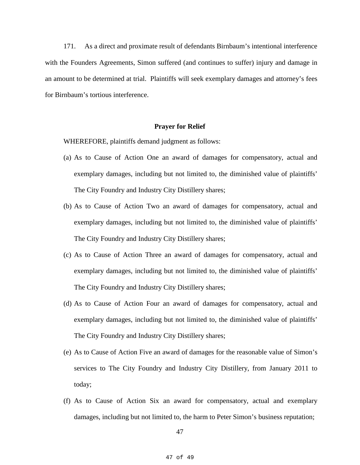171. As a direct and proximate result of defendants Birnbaum's intentional interference with the Founders Agreements, Simon suffered (and continues to suffer) injury and damage in an amount to be determined at trial. Plaintiffs will seek exemplary damages and attorney's fees for Birnbaum's tortious interference.

#### **Prayer for Relief**

WHEREFORE, plaintiffs demand judgment as follows:

- (a) As to Cause of Action One an award of damages for compensatory, actual and exemplary damages, including but not limited to, the diminished value of plaintiffs' The City Foundry and Industry City Distillery shares;
- (b) As to Cause of Action Two an award of damages for compensatory, actual and exemplary damages, including but not limited to, the diminished value of plaintiffs' The City Foundry and Industry City Distillery shares;
- (c) As to Cause of Action Three an award of damages for compensatory, actual and exemplary damages, including but not limited to, the diminished value of plaintiffs' The City Foundry and Industry City Distillery shares;
- (d) As to Cause of Action Four an award of damages for compensatory, actual and exemplary damages, including but not limited to, the diminished value of plaintiffs' The City Foundry and Industry City Distillery shares;
- (e) As to Cause of Action Five an award of damages for the reasonable value of Simon's services to The City Foundry and Industry City Distillery, from January 2011 to today;
- (f) As to Cause of Action Six an award for compensatory, actual and exemplary damages, including but not limited to, the harm to Peter Simon's business reputation;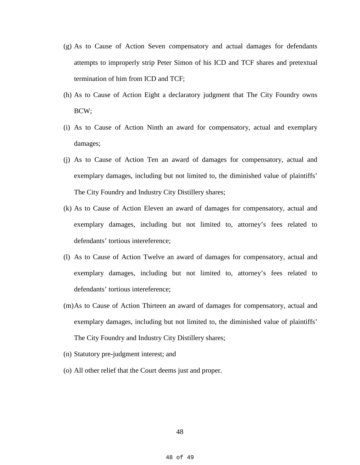- (g) As to Cause of Action Seven compensatory and actual damages for defendants attempts to improperly strip Peter Simon of his ICD and TCF shares and pretextual termination of him from ICD and TCF;
- (h) As to Cause of Action Eight a declaratory judgment that The City Foundry owns BCW;
- (i) As to Cause of Action Ninth an award for compensatory, actual and exemplary damages;
- (j) As to Cause of Action Ten an award of damages for compensatory, actual and exemplary damages, including but not limited to, the diminished value of plaintiffs' The City Foundry and Industry City Distillery shares;
- (k) As to Cause of Action Eleven an award of damages for compensatory, actual and exemplary damages, including but not limited to, attorney's fees related to defendants' tortious intereference;
- (l) As to Cause of Action Twelve an award of damages for compensatory, actual and exemplary damages, including but not limited to, attorney's fees related to defendants' tortious intereference;
- (m)As to Cause of Action Thirteen an award of damages for compensatory, actual and exemplary damages, including but not limited to, the diminished value of plaintiffs' The City Foundry and Industry City Distillery shares;
- (n) Statutory pre-judgment interest; and
- (o) All other relief that the Court deems just and proper.